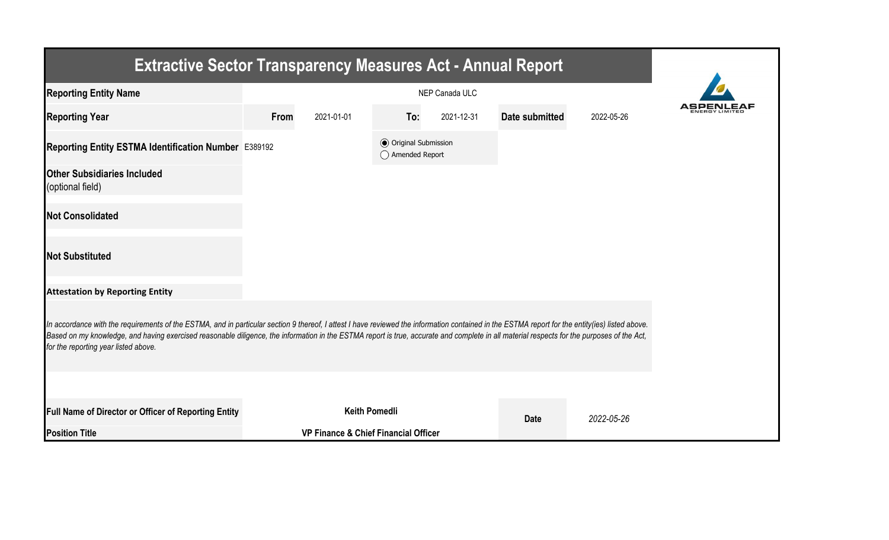| <b>Extractive Sector Transparency Measures Act - Annual Report</b>                                                                                                                                                                                                                                                                                                                                                                    |      |                                      |                                                  |            |                |            |  |  |  |  |  |
|---------------------------------------------------------------------------------------------------------------------------------------------------------------------------------------------------------------------------------------------------------------------------------------------------------------------------------------------------------------------------------------------------------------------------------------|------|--------------------------------------|--------------------------------------------------|------------|----------------|------------|--|--|--|--|--|
| <b>Reporting Entity Name</b>                                                                                                                                                                                                                                                                                                                                                                                                          |      |                                      |                                                  |            |                |            |  |  |  |  |  |
| <b>Reporting Year</b>                                                                                                                                                                                                                                                                                                                                                                                                                 | From | 2021-01-01                           | To:                                              | 2021-12-31 | Date submitted | 2022-05-26 |  |  |  |  |  |
| Reporting Entity ESTMA Identification Number E389192                                                                                                                                                                                                                                                                                                                                                                                  |      |                                      | <b>◎</b> Original Submission<br>◯ Amended Report |            |                |            |  |  |  |  |  |
| <b>Other Subsidiaries Included</b><br>(optional field)                                                                                                                                                                                                                                                                                                                                                                                |      |                                      |                                                  |            |                |            |  |  |  |  |  |
| <b>Not Consolidated</b>                                                                                                                                                                                                                                                                                                                                                                                                               |      |                                      |                                                  |            |                |            |  |  |  |  |  |
| <b>Not Substituted</b>                                                                                                                                                                                                                                                                                                                                                                                                                |      |                                      |                                                  |            |                |            |  |  |  |  |  |
| <b>Attestation by Reporting Entity</b>                                                                                                                                                                                                                                                                                                                                                                                                |      |                                      |                                                  |            |                |            |  |  |  |  |  |
| In accordance with the requirements of the ESTMA, and in particular section 9 thereof, I attest I have reviewed the information contained in the ESTMA report for the entity(ies) listed above.<br>Based on my knowledge, and having exercised reasonable diligence, the information in the ESTMA report is true, accurate and complete in all material respects for the purposes of the Act,<br>for the reporting year listed above. |      |                                      |                                                  |            |                |            |  |  |  |  |  |
|                                                                                                                                                                                                                                                                                                                                                                                                                                       |      |                                      |                                                  |            |                |            |  |  |  |  |  |
| Full Name of Director or Officer of Reporting Entity                                                                                                                                                                                                                                                                                                                                                                                  |      | <b>Keith Pomedli</b>                 |                                                  |            | <b>Date</b>    | 2022-05-26 |  |  |  |  |  |
| <b>Position Title</b>                                                                                                                                                                                                                                                                                                                                                                                                                 |      | VP Finance & Chief Financial Officer |                                                  |            |                |            |  |  |  |  |  |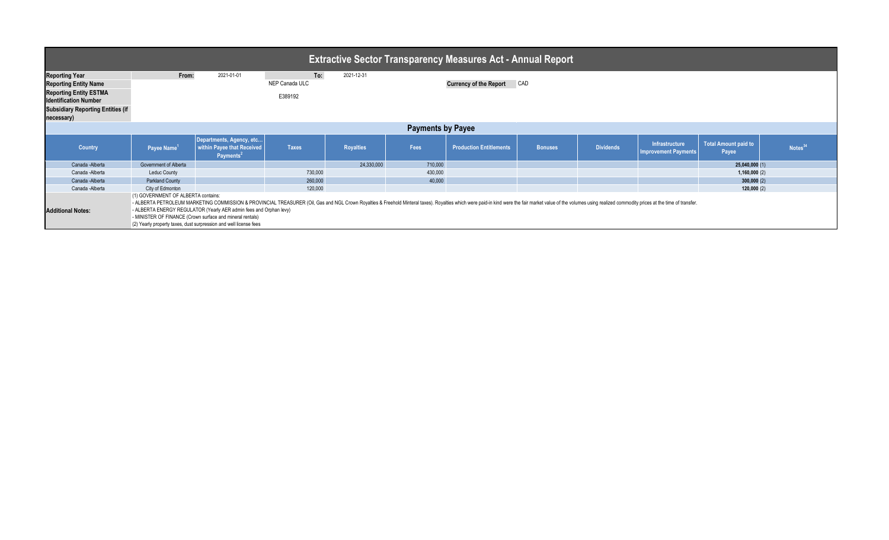|                                                        |                                     |                                                                                                                                                                                                                                                                                                                                                                                                                                        |                |                  |                          | Extractive Sector Transparency Measures Act - Annual Report <sup>1</sup> |                |                  |                                                      |                               |                    |  |
|--------------------------------------------------------|-------------------------------------|----------------------------------------------------------------------------------------------------------------------------------------------------------------------------------------------------------------------------------------------------------------------------------------------------------------------------------------------------------------------------------------------------------------------------------------|----------------|------------------|--------------------------|--------------------------------------------------------------------------|----------------|------------------|------------------------------------------------------|-------------------------------|--------------------|--|
| <b>Reporting Year</b>                                  | From:                               | 2021-01-01                                                                                                                                                                                                                                                                                                                                                                                                                             | To:            | 2021-12-31       |                          |                                                                          |                |                  |                                                      |                               |                    |  |
| <b>Reporting Entity Name</b>                           |                                     |                                                                                                                                                                                                                                                                                                                                                                                                                                        | NEP Canada ULC |                  |                          | <b>Currency of the Report</b>                                            | CAD            |                  |                                                      |                               |                    |  |
| <b>Reporting Entity ESTMA</b>                          |                                     |                                                                                                                                                                                                                                                                                                                                                                                                                                        | E389192        |                  |                          |                                                                          |                |                  |                                                      |                               |                    |  |
| <b>Identification Number</b>                           |                                     |                                                                                                                                                                                                                                                                                                                                                                                                                                        |                |                  |                          |                                                                          |                |                  |                                                      |                               |                    |  |
| <b>Subsidiary Reporting Entities (if</b><br>necessary) |                                     |                                                                                                                                                                                                                                                                                                                                                                                                                                        |                |                  |                          |                                                                          |                |                  |                                                      |                               |                    |  |
|                                                        |                                     |                                                                                                                                                                                                                                                                                                                                                                                                                                        |                |                  | <b>Payments by Payee</b> |                                                                          |                |                  |                                                      |                               |                    |  |
| <b>Country</b>                                         | Payee Name <sup>1</sup>             | Departments, Agency, etc<br>within Payee that Received<br>Payments <sup>2</sup>                                                                                                                                                                                                                                                                                                                                                        | <b>Taxes</b>   | <b>Royalties</b> | Fees                     | <b>Production Entitlements</b>                                           | <b>Bonuses</b> | <b>Dividends</b> | <b>Infrastructure</b><br><b>Improvement Payments</b> | Total Amount paid to<br>Payee | Notes <sup>3</sup> |  |
| Canada - Alberta                                       | Government of Alberta               |                                                                                                                                                                                                                                                                                                                                                                                                                                        |                | 24,330,000       | 710,000                  |                                                                          |                |                  |                                                      | 25,040,000(1)                 |                    |  |
| Canada - Alberta                                       | <b>Leduc County</b>                 |                                                                                                                                                                                                                                                                                                                                                                                                                                        | 730,000        |                  | 430,000                  |                                                                          |                |                  |                                                      | 1,160,000(2)                  |                    |  |
| Canada - Alberta                                       | <b>Parkland County</b>              |                                                                                                                                                                                                                                                                                                                                                                                                                                        | 260,000        |                  | 40,000                   |                                                                          |                |                  |                                                      | 300,000(2)                    |                    |  |
| Canada - Alberta                                       | City of Edmonton                    |                                                                                                                                                                                                                                                                                                                                                                                                                                        | 120,000        |                  |                          |                                                                          |                |                  |                                                      | 120,000(2)                    |                    |  |
| <b>Additional Notes:</b>                               | (1) GOVERNMENT OF ALBERTA contains: | - ALBERTA PETROLEUM MARKETING COMMISSION & PROVINCIAL TREASURER (Oil, Gas and NGL Crown Royalties & Freehold Minteral taxes). Royalties which were paid-in kind were the fair market value of the volumes using realized commo<br>- ALBERTA ENERGY REGULATOR (Yearly AER admin fees and Orphan levy)<br>- MINISTER OF FINANCE (Crown surface and mineral rentals)<br>(2) Yearly property taxes, dust surpression and well license fees |                |                  |                          |                                                                          |                |                  |                                                      |                               |                    |  |